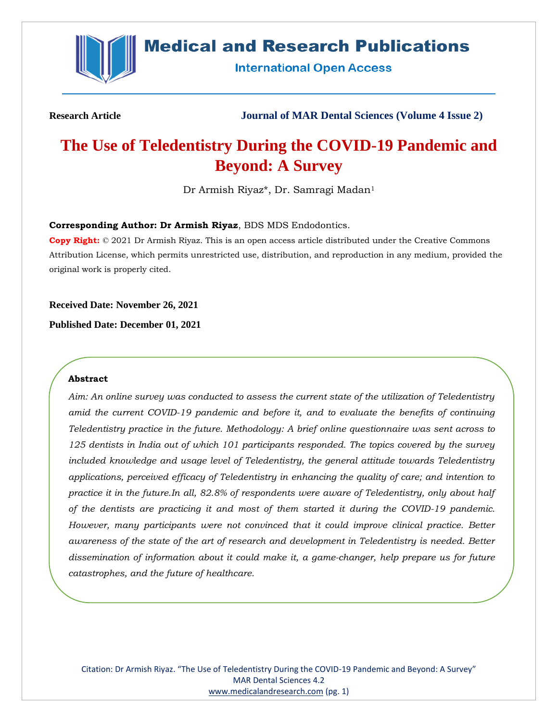

## **Medical and Research Publications**

**International Open Access** 

**Research Article Journal of MAR Dental Sciences (Volume 4 Issue 2)**

# **The Use of Teledentistry During the COVID-19 Pandemic and Beyond: A Survey**

Dr Armish Riyaz\*, Dr. Samragi Madan<sup>1</sup>

### **Corresponding Author: Dr Armish Riyaz**, BDS MDS Endodontics.

**Copy Right:** © 2021 Dr Armish Riyaz. This is an open access article distributed under the Creative Commons Attribution License, which permits unrestricted use, distribution, and reproduction in any medium, provided the original work is properly cited.

**Received Date: November 26, 2021**

**Published Date: December 01, 2021**

### **Abstract**

*Aim: An online survey was conducted to assess the current state of the utilization of Teledentistry amid the current COVID-19 pandemic and before it, and to evaluate the benefits of continuing Teledentistry practice in the future. Methodology: A brief online questionnaire was sent across to 125 dentists in India out of which 101 participants responded. The topics covered by the survey included knowledge and usage level of Teledentistry, the general attitude towards Teledentistry applications, perceived efficacy of Teledentistry in enhancing the quality of care; and intention to practice it in the future.In all, 82.8% of respondents were aware of Teledentistry, only about half of the dentists are practicing it and most of them started it during the COVID-19 pandemic. However, many participants were not convinced that it could improve clinical practice. Better awareness of the state of the art of research and development in Teledentistry is needed. Better dissemination of information about it could make it, a game-changer, help prepare us for future catastrophes, and the future of healthcare.*

Citation: Dr Armish Riyaz. "The Use of Teledentistry During the COVID-19 Pandemic and Beyond: A Survey" MAR Dental Sciences 4.2 [www.medicalandresearch.com](http://www.medicalandresearch.com/) (pg. 1)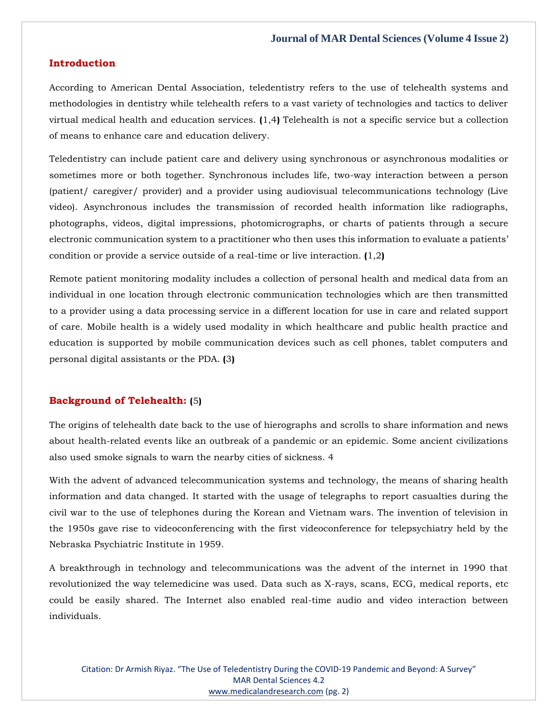### **Introduction**

According to American Dental Association, teledentistry refers to the use of telehealth systems and methodologies in dentistry while telehealth refers to a vast variety of technologies and tactics to deliver virtual medical health and education services. **(**1,4**)** Telehealth is not a specific service but a collection of means to enhance care and education delivery.

Teledentistry can include patient care and delivery using synchronous or asynchronous modalities or sometimes more or both together. Synchronous includes life, two-way interaction between a person (patient/ caregiver/ provider) and a provider using audiovisual telecommunications technology (Live video). Asynchronous includes the transmission of recorded health information like radiographs, photographs, videos, digital impressions, photomicrographs, or charts of patients through a secure electronic communication system to a practitioner who then uses this information to evaluate a patients' condition or provide a service outside of a real-time or live interaction. **(**1,2**)**

Remote patient monitoring modality includes a collection of personal health and medical data from an individual in one location through electronic communication technologies which are then transmitted to a provider using a data processing service in a different location for use in care and related support of care. Mobile health is a widely used modality in which healthcare and public health practice and education is supported by mobile communication devices such as cell phones, tablet computers and personal digital assistants or the PDA. **(**3**)**

### **Background of Telehealth: (**5**)**

The origins of telehealth date back to the use of hierographs and scrolls to share information and news about health-related events like an outbreak of a pandemic or an epidemic. Some ancient civilizations also used smoke signals to warn the nearby cities of sickness. 4

With the advent of advanced telecommunication systems and technology, the means of sharing health information and data changed. It started with the usage of telegraphs to report casualties during the civil war to the use of telephones during the Korean and Vietnam wars. The invention of television in the 1950s gave rise to videoconferencing with the first videoconference for telepsychiatry held by the Nebraska Psychiatric Institute in 1959.

A breakthrough in technology and telecommunications was the advent of the internet in 1990 that revolutionized the way telemedicine was used. Data such as X-rays, scans, ECG, medical reports, etc could be easily shared. The Internet also enabled real-time audio and video interaction between individuals.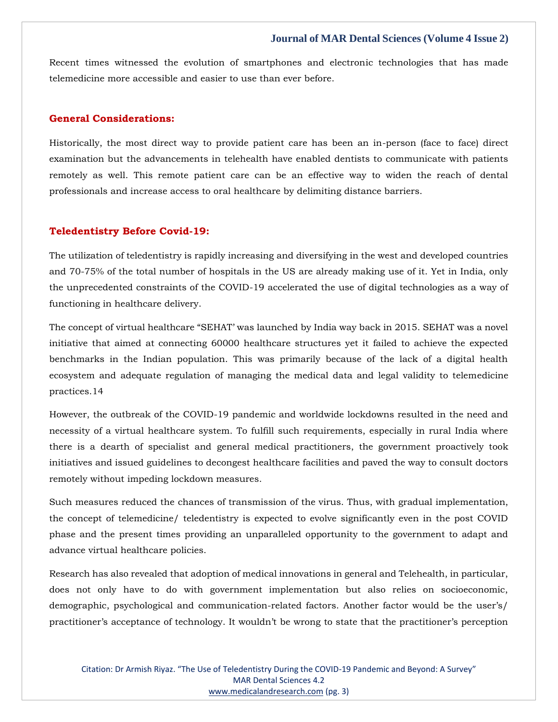Recent times witnessed the evolution of smartphones and electronic technologies that has made telemedicine more accessible and easier to use than ever before.

### **General Considerations:**

Historically, the most direct way to provide patient care has been an in-person (face to face) direct examination but the advancements in telehealth have enabled dentists to communicate with patients remotely as well. This remote patient care can be an effective way to widen the reach of dental professionals and increase access to oral healthcare by delimiting distance barriers.

### **Teledentistry Before Covid-19:**

The utilization of teledentistry is rapidly increasing and diversifying in the west and developed countries and 70-75% of the total number of hospitals in the US are already making use of it. Yet in India, only the unprecedented constraints of the COVID-19 accelerated the use of digital technologies as a way of functioning in healthcare delivery.

The concept of virtual healthcare "SEHAT' was launched by India way back in 2015. SEHAT was a novel initiative that aimed at connecting 60000 healthcare structures yet it failed to achieve the expected benchmarks in the Indian population. This was primarily because of the lack of a digital health ecosystem and adequate regulation of managing the medical data and legal validity to telemedicine practices.14

However, the outbreak of the COVID-19 pandemic and worldwide lockdowns resulted in the need and necessity of a virtual healthcare system. To fulfill such requirements, especially in rural India where there is a dearth of specialist and general medical practitioners, the government proactively took initiatives and issued guidelines to decongest healthcare facilities and paved the way to consult doctors remotely without impeding lockdown measures.

Such measures reduced the chances of transmission of the virus. Thus, with gradual implementation, the concept of telemedicine/ teledentistry is expected to evolve significantly even in the post COVID phase and the present times providing an unparalleled opportunity to the government to adapt and advance virtual healthcare policies.

Research has also revealed that adoption of medical innovations in general and Telehealth, in particular, does not only have to do with government implementation but also relies on socioeconomic, demographic, psychological and communication-related factors. Another factor would be the user's/ practitioner's acceptance of technology. It wouldn't be wrong to state that the practitioner's perception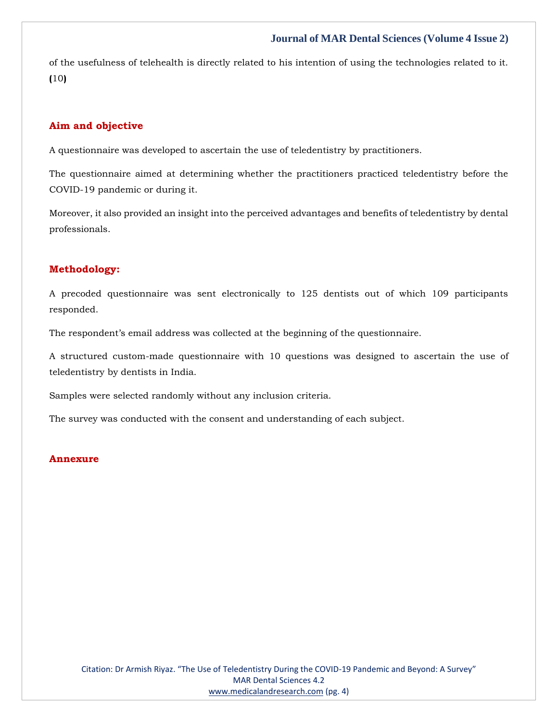of the usefulness of telehealth is directly related to his intention of using the technologies related to it. **(**10**)**

### **Aim and objective**

A questionnaire was developed to ascertain the use of teledentistry by practitioners.

The questionnaire aimed at determining whether the practitioners practiced teledentistry before the COVID-19 pandemic or during it.

Moreover, it also provided an insight into the perceived advantages and benefits of teledentistry by dental professionals.

### **Methodology:**

A precoded questionnaire was sent electronically to 125 dentists out of which 109 participants responded.

The respondent's email address was collected at the beginning of the questionnaire.

A structured custom-made questionnaire with 10 questions was designed to ascertain the use of teledentistry by dentists in India.

Samples were selected randomly without any inclusion criteria.

The survey was conducted with the consent and understanding of each subject.

### **Annexure**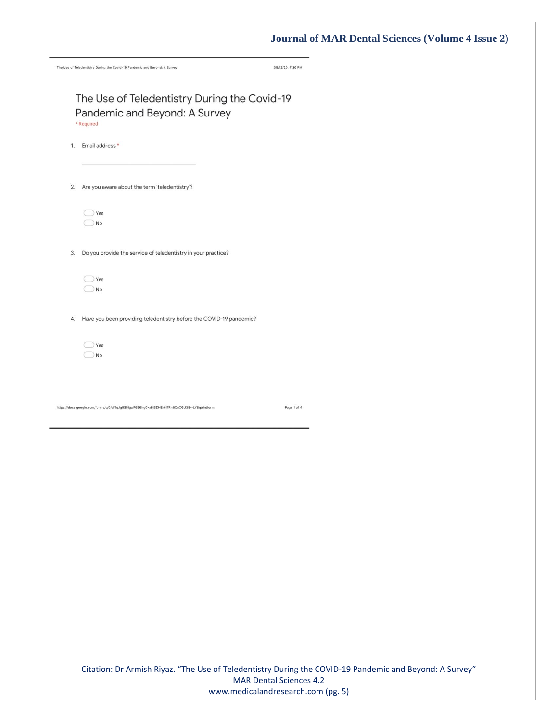|    | The Use of Teledentistry During the Covid-19 Pandemic and Beyond: A Survey                   | 05/12/20, 7:30 PM |
|----|----------------------------------------------------------------------------------------------|-------------------|
|    |                                                                                              |                   |
|    | The Use of Teledentistry During the Covid-19                                                 |                   |
|    | Pandemic and Beyond: A Survey<br>* Required                                                  |                   |
| 1. | Email address *                                                                              |                   |
| 2. | Are you aware about the term 'teledentistry'?                                                |                   |
|    |                                                                                              |                   |
|    | Yes<br>No                                                                                    |                   |
| 3. | Do you provide the service of teledentistry in your practice?                                |                   |
|    | Yes                                                                                          |                   |
|    | No                                                                                           |                   |
| 4. | Have you been providing teledentistry before the COVID-19 pandemic?                          |                   |
|    | Yes<br>No                                                                                    |                   |
|    |                                                                                              |                   |
|    | https://docs.google.com/forms/u/0/d/1qJg5S5lgwF6B6hg0kxBjSDHEr6l7Rn6CnCGU38 -- LY8/printform | Page 1 of 4       |
|    |                                                                                              |                   |
|    |                                                                                              |                   |
|    |                                                                                              |                   |
|    |                                                                                              |                   |
|    |                                                                                              |                   |
|    |                                                                                              |                   |
|    |                                                                                              |                   |
|    |                                                                                              |                   |
|    |                                                                                              |                   |

Citation: Dr Armish Riyaz. "The Use of Teledentistry During the COVID-19 Pandemic and Beyond: A Survey" MAR Dental Sciences 4.2 [www.medicalandresearch.com](http://www.medicalandresearch.com/) (pg. 5)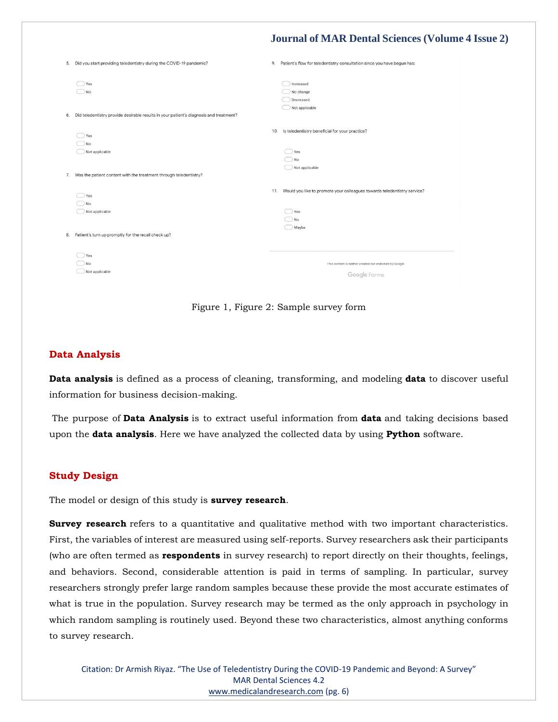|    | 5. Did you start providing teledentistry during the COVID-19 pandemic?                                 | 9.  | Patient's flow for teledentistry consultation since you have begun has:                        |
|----|--------------------------------------------------------------------------------------------------------|-----|------------------------------------------------------------------------------------------------|
|    | Yes<br>No<br>6. Did teledentistry provide desirable results in your patient's diagnosis and treatment? |     | Increased<br>No change<br>Decreased<br>Not applicable                                          |
|    | Yes<br>No<br>Not applicable                                                                            | 10. | Is teledentistry beneficial for your practice?<br>Yes<br>No<br>Not applicable                  |
|    | 7. Was the patient content with the treatment through teledentistry?                                   |     |                                                                                                |
|    | Yes<br>No<br>Not applicable                                                                            | 11. | Would you like to promote your colleagues towards teledentistry service?<br>Yes<br>No<br>Maybe |
| 8. | Patient's turn up promptly for the recall check up?                                                    |     |                                                                                                |
|    | Yes<br>No<br>Not applicable                                                                            |     | This content is neither created nor endorsed by Google.<br>Google Forms                        |

Figure 1, Figure 2: Sample survey form

### **Data Analysis**

**Data analysis** is defined as a process of cleaning, transforming, and modeling **data** to discover useful information for business decision-making.

The purpose of **Data Analysis** is to extract useful information from **data** and taking decisions based upon the **data analysis**. Here we have analyzed the collected data by using **Python** software.

### **Study Design**

The model or design of this study is **survey research**.

**Survey research** refers to a quantitative and qualitative method with two important characteristics. First, the variables of interest are measured using self-reports. Survey researchers ask their participants (who are often termed as **respondents** in survey research) to report directly on their thoughts, feelings, and behaviors. Second, considerable attention is paid in terms of sampling. In particular, survey researchers strongly prefer large random samples because these provide the most accurate estimates of what is true in the population. Survey research may be termed as the only approach in psychology in which random sampling is routinely used. Beyond these two characteristics, almost anything conforms to survey research.

Citation: Dr Armish Riyaz. "The Use of Teledentistry During the COVID-19 Pandemic and Beyond: A Survey" MAR Dental Sciences 4.2 [www.medicalandresearch.com](http://www.medicalandresearch.com/) (pg. 6)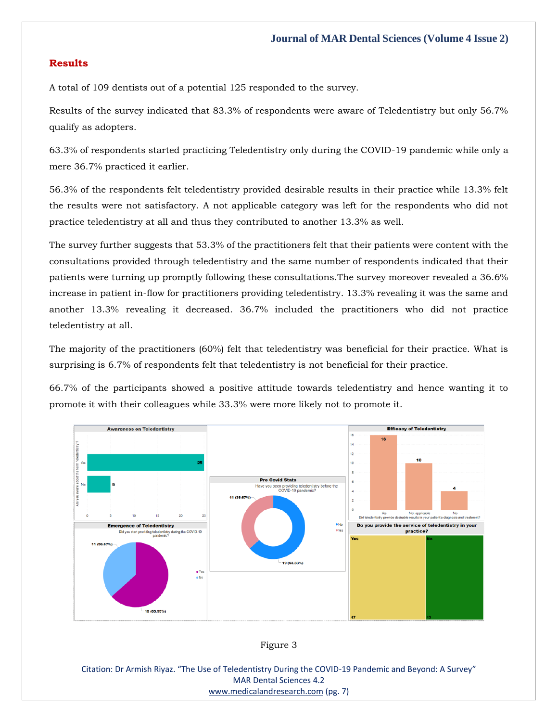### **Results**

A total of 109 dentists out of a potential 125 responded to the survey.

Results of the survey indicated that 83.3% of respondents were aware of Teledentistry but only 56.7% qualify as adopters.

63.3% of respondents started practicing Teledentistry only during the COVID-19 pandemic while only a mere 36.7% practiced it earlier.

56.3% of the respondents felt teledentistry provided desirable results in their practice while 13.3% felt the results were not satisfactory. A not applicable category was left for the respondents who did not practice teledentistry at all and thus they contributed to another 13.3% as well.

The survey further suggests that 53.3% of the practitioners felt that their patients were content with the consultations provided through teledentistry and the same number of respondents indicated that their patients were turning up promptly following these consultations.The survey moreover revealed a 36.6% increase in patient in-flow for practitioners providing teledentistry. 13.3% revealing it was the same and another 13.3% revealing it decreased. 36.7% included the practitioners who did not practice teledentistry at all.

The majority of the practitioners (60%) felt that teledentistry was beneficial for their practice. What is surprising is 6.7% of respondents felt that teledentistry is not beneficial for their practice.

66.7% of the participants showed a positive attitude towards teledentistry and hence wanting it to promote it with their colleagues while 33.3% were more likely not to promote it.





Citation: Dr Armish Riyaz. "The Use of Teledentistry During the COVID-19 Pandemic and Beyond: A Survey" MAR Dental Sciences 4.2 [www.medicalandresearch.com](http://www.medicalandresearch.com/) (pg. 7)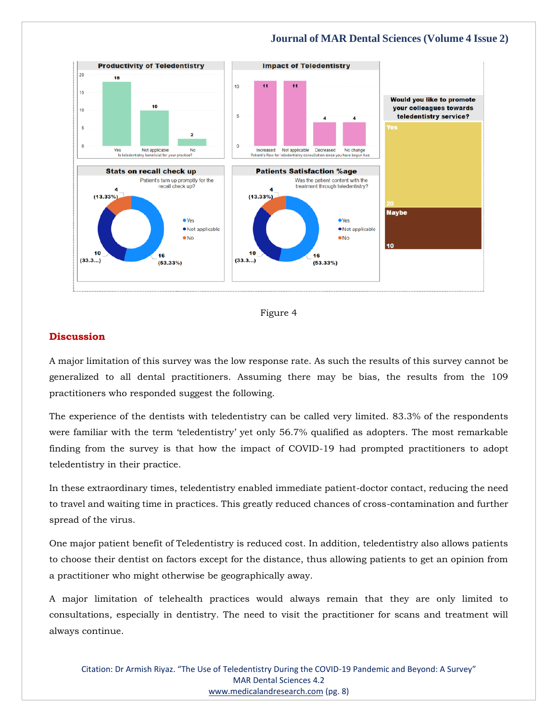



### **Discussion**

A major limitation of this survey was the low response rate. As such the results of this survey cannot be generalized to all dental practitioners. Assuming there may be bias, the results from the 109 practitioners who responded suggest the following.

The experience of the dentists with teledentistry can be called very limited. 83.3% of the respondents were familiar with the term 'teledentistry' yet only 56.7% qualified as adopters. The most remarkable finding from the survey is that how the impact of COVID-19 had prompted practitioners to adopt teledentistry in their practice.

In these extraordinary times, teledentistry enabled immediate patient-doctor contact, reducing the need to travel and waiting time in practices. This greatly reduced chances of cross-contamination and further spread of the virus.

One major patient benefit of Teledentistry is reduced cost. In addition, teledentistry also allows patients to choose their dentist on factors except for the distance, thus allowing patients to get an opinion from a practitioner who might otherwise be geographically away.

A major limitation of telehealth practices would always remain that they are only limited to consultations, especially in dentistry. The need to visit the practitioner for scans and treatment will always continue.

Citation: Dr Armish Riyaz. "The Use of Teledentistry During the COVID-19 Pandemic and Beyond: A Survey" MAR Dental Sciences 4.2 [www.medicalandresearch.com](http://www.medicalandresearch.com/) (pg. 8)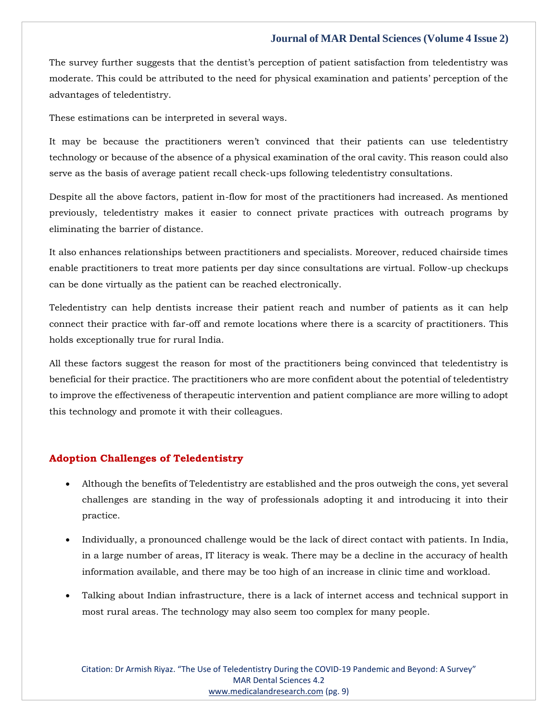The survey further suggests that the dentist's perception of patient satisfaction from teledentistry was moderate. This could be attributed to the need for physical examination and patients' perception of the advantages of teledentistry.

These estimations can be interpreted in several ways.

It may be because the practitioners weren't convinced that their patients can use teledentistry technology or because of the absence of a physical examination of the oral cavity. This reason could also serve as the basis of average patient recall check-ups following teledentistry consultations.

Despite all the above factors, patient in-flow for most of the practitioners had increased. As mentioned previously, teledentistry makes it easier to connect private practices with outreach programs by eliminating the barrier of distance.

It also enhances relationships between practitioners and specialists. Moreover, reduced chairside times enable practitioners to treat more patients per day since consultations are virtual. Follow-up checkups can be done virtually as the patient can be reached electronically.

Teledentistry can help dentists increase their patient reach and number of patients as it can help connect their practice with far-off and remote locations where there is a scarcity of practitioners. This holds exceptionally true for rural India.

All these factors suggest the reason for most of the practitioners being convinced that teledentistry is beneficial for their practice. The practitioners who are more confident about the potential of teledentistry to improve the effectiveness of therapeutic intervention and patient compliance are more willing to adopt this technology and promote it with their colleagues.

### **Adoption Challenges of Teledentistry**

- Although the benefits of Teledentistry are established and the pros outweigh the cons, yet several challenges are standing in the way of professionals adopting it and introducing it into their practice.
- Individually, a pronounced challenge would be the lack of direct contact with patients. In India, in a large number of areas, IT literacy is weak. There may be a decline in the accuracy of health information available, and there may be too high of an increase in clinic time and workload.
- Talking about Indian infrastructure, there is a lack of internet access and technical support in most rural areas. The technology may also seem too complex for many people.

Citation: Dr Armish Riyaz. "The Use of Teledentistry During the COVID-19 Pandemic and Beyond: A Survey" MAR Dental Sciences 4.2 [www.medicalandresearch.com](http://www.medicalandresearch.com/) (pg. 9)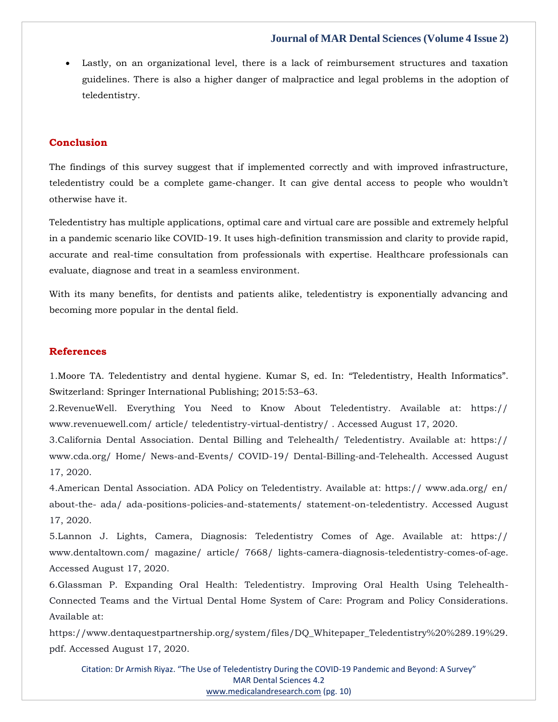• Lastly, on an organizational level, there is a lack of reimbursement structures and taxation guidelines. There is also a higher danger of malpractice and legal problems in the adoption of teledentistry.

### **Conclusion**

The findings of this survey suggest that if implemented correctly and with improved infrastructure, teledentistry could be a complete game-changer. It can give dental access to people who wouldn't otherwise have it.

Teledentistry has multiple applications, optimal care and virtual care are possible and extremely helpful in a pandemic scenario like COVID-19. It uses high-definition transmission and clarity to provide rapid, accurate and real-time consultation from professionals with expertise. Healthcare professionals can evaluate, diagnose and treat in a seamless environment.

With its many benefits, for dentists and patients alike, teledentistry is exponentially advancing and becoming more popular in the dental field.

### **References**

1[.Moore TA. Teledentistry and dental hygiene. Kumar S, ed. In:](https://www.google.com/search?q=Teledentistry%2C+Health+Informatics&oq=Teledentistry%2C+Health+Informatics&aqs=chrome..69i57.507j0j7&sourceid=chrome&ie=UTF-8) "Teledentistry, Health Informatics". [Switzerland: Springer International Publishing; 2015:53](https://www.google.com/search?q=Teledentistry%2C+Health+Informatics&oq=Teledentistry%2C+Health+Informatics&aqs=chrome..69i57.507j0j7&sourceid=chrome&ie=UTF-8)–63.

2.RevenueWell. Everything You Need to Know About Teledentistry. Available at: https:// www.revenuewell.com/ article/ teledentistry-virtual-dentistry/ . Accessed August 17, 2020.

3.California Dental Association. Dental Billing and Telehealth/ Teledentistry. Available at: https:// www.cda.org/ Home/ News-and-Events/ COVID-19/ Dental-Billing-and-Telehealth. Accessed August 17, 2020.

4.American Dental Association. ADA Policy on Teledentistry. Available at: https:// www.ada.org/ en/ about-the- ada/ ada-positions-policies-and-statements/ statement-on-teledentistry. Accessed August 17, 2020.

5.Lannon J. Lights, Camera, Diagnosis: Teledentistry Comes of Age. Available at: https:// www.dentaltown.com/ magazine/ article/ 7668/ lights-camera-diagnosis-teledentistry-comes-of-age. Accessed August 17, 2020.

6.Glassman P. Expanding Oral Health: Teledentistry. Improving Oral Health Using Telehealth-Connected Teams and the Virtual Dental Home System of Care: Program and Policy Considerations. Available at:

https://www.dentaquestpartnership.org/system/files/DQ\_Whitepaper\_Teledentistry%20%289.19%29. pdf. Accessed August 17, 2020.

Citation: Dr Armish Riyaz. "The Use of Teledentistry During the COVID-19 Pandemic and Beyond: A Survey" MAR Dental Sciences 4.2 [www.medicalandresearch.com](http://www.medicalandresearch.com/) (pg. 10)